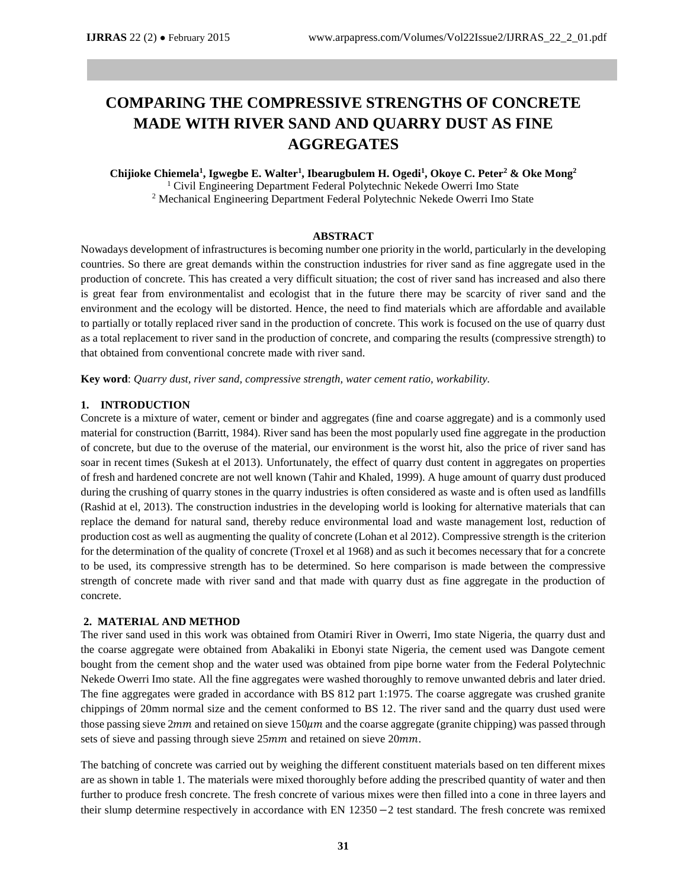# **COMPARING THE COMPRESSIVE STRENGTHS OF CONCRETE MADE WITH RIVER SAND AND QUARRY DUST AS FINE AGGREGATES**

**Chijioke Chiemela<sup>1</sup> , Igwegbe E. Walter<sup>1</sup> , Ibearugbulem H. Ogedi<sup>1</sup> , Okoye C. Peter<sup>2</sup> & Oke Mong<sup>2</sup>** <sup>1</sup> Civil Engineering Department Federal Polytechnic Nekede Owerri Imo State <sup>2</sup> Mechanical Engineering Department Federal Polytechnic Nekede Owerri Imo State

#### **ABSTRACT**

Nowadays development of infrastructures is becoming number one priority in the world, particularly in the developing countries. So there are great demands within the construction industries for river sand as fine aggregate used in the production of concrete. This has created a very difficult situation; the cost of river sand has increased and also there is great fear from environmentalist and ecologist that in the future there may be scarcity of river sand and the environment and the ecology will be distorted. Hence, the need to find materials which are affordable and available to partially or totally replaced river sand in the production of concrete. This work is focused on the use of quarry dust as a total replacement to river sand in the production of concrete, and comparing the results (compressive strength) to that obtained from conventional concrete made with river sand.

**Key word**: *Quarry dust, river sand, compressive strength, water cement ratio, workability.*

#### **1. INTRODUCTION**

Concrete is a mixture of water, cement or binder and aggregates (fine and coarse aggregate) and is a commonly used material for construction (Barritt, 1984). River sand has been the most popularly used fine aggregate in the production of concrete, but due to the overuse of the material, our environment is the worst hit, also the price of river sand has soar in recent times (Sukesh at el 2013). Unfortunately, the effect of quarry dust content in aggregates on properties of fresh and hardened concrete are not well known (Tahir and Khaled, 1999). A huge amount of quarry dust produced during the crushing of quarry stones in the quarry industries is often considered as waste and is often used as landfills (Rashid at el, 2013). The construction industries in the developing world is looking for alternative materials that can replace the demand for natural sand, thereby reduce environmental load and waste management lost, reduction of production cost as well as augmenting the quality of concrete (Lohan et al 2012). Compressive strength is the criterion for the determination of the quality of concrete (Troxel et al 1968) and as such it becomes necessary that for a concrete to be used, its compressive strength has to be determined. So here comparison is made between the compressive strength of concrete made with river sand and that made with quarry dust as fine aggregate in the production of concrete.

#### **2. MATERIAL AND METHOD**

The river sand used in this work was obtained from Otamiri River in Owerri, Imo state Nigeria, the quarry dust and the coarse aggregate were obtained from Abakaliki in Ebonyi state Nigeria, the cement used was Dangote cement bought from the cement shop and the water used was obtained from pipe borne water from the Federal Polytechnic Nekede Owerri Imo state. All the fine aggregates were washed thoroughly to remove unwanted debris and later dried. The fine aggregates were graded in accordance with BS 812 part 1:1975. The coarse aggregate was crushed granite chippings of 20mm normal size and the cement conformed to BS 12. The river sand and the quarry dust used were those passing sieve 2mm and retained on sieve  $150 \mu m$  and the coarse aggregate (granite chipping) was passed through sets of sieve and passing through sieve 25mm and retained on sieve 20mm.

The batching of concrete was carried out by weighing the different constituent materials based on ten different mixes are as shown in table 1. The materials were mixed thoroughly before adding the prescribed quantity of water and then further to produce fresh concrete. The fresh concrete of various mixes were then filled into a cone in three layers and their slump determine respectively in accordance with EN 12350 −2 test standard. The fresh concrete was remixed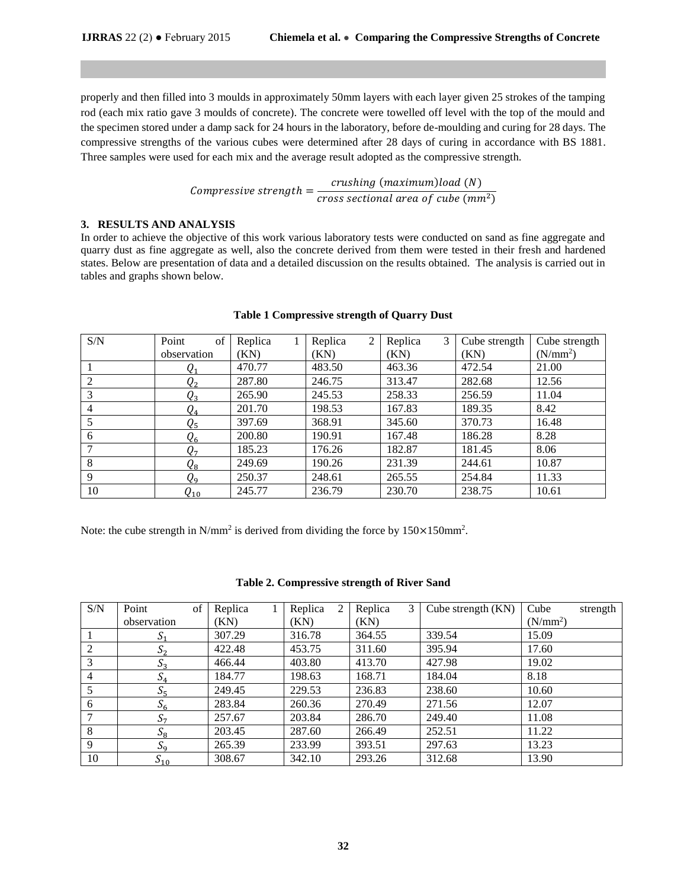properly and then filled into 3 moulds in approximately 50mm layers with each layer given 25 strokes of the tamping rod (each mix ratio gave 3 moulds of concrete). The concrete were towelled off level with the top of the mould and the specimen stored under a damp sack for 24 hours in the laboratory, before de-moulding and curing for 28 days. The compressive strengths of the various cubes were determined after 28 days of curing in accordance with BS 1881. Three samples were used for each mix and the average result adopted as the compressive strength.

> Compressive strength  $=$   $\frac{crusing (maximum)load(N)}{r}$ cross sectional area of cube  $(mm^2)$

### **3. RESULTS AND ANALYSIS**

In order to achieve the objective of this work various laboratory tests were conducted on sand as fine aggregate and quarry dust as fine aggregate as well, also the concrete derived from them were tested in their fresh and hardened states. Below are presentation of data and a detailed discussion on the results obtained. The analysis is carried out in tables and graphs shown below.

| S/N            | of<br>Point                 | Replica | 2<br>Replica | $\mathfrak{Z}$<br>Replica | Cube strength | Cube strength        |
|----------------|-----------------------------|---------|--------------|---------------------------|---------------|----------------------|
|                | observation                 | (KN)    | (KN)         | (KN)                      | (KN)          | (N/mm <sup>2</sup> ) |
|                | $Q_1$                       | 470.77  | 483.50       | 463.36                    | 472.54        | 21.00                |
| 2              | $Q_{2}$                     | 287.80  | 246.75       | 313.47                    | 282.68        | 12.56                |
| 3              | $\it{Q}_3$                  | 265.90  | 245.53       | 258.33                    | 256.59        | 11.04                |
| $\overline{4}$ | $Q_4$                       | 201.70  | 198.53       | 167.83                    | 189.35        | 8.42                 |
|                | $\varrho_{\text{\tiny{5}}}$ | 397.69  | 368.91       | 345.60                    | 370.73        | 16.48                |
| 6              | $Q_6$                       | 200.80  | 190.91       | 167.48                    | 186.28        | 8.28                 |
|                | Q7                          | 185.23  | 176.26       | 182.87                    | 181.45        | 8.06                 |
| 8              | $Q_8$                       | 249.69  | 190.26       | 231.39                    | 244.61        | 10.87                |
| 9              | Q9                          | 250.37  | 248.61       | 265.55                    | 254.84        | 11.33                |
| 10             | $Q_{10}$                    | 245.77  | 236.79       | 230.70                    | 238.75        | 10.61                |

### **Table 1 Compressive strength of Quarry Dust**

Note: the cube strength in N/mm<sup>2</sup> is derived from dividing the force by  $150 \times 150$  mm<sup>2</sup>.

|  | Table 2. Compressive strength of River Sand |
|--|---------------------------------------------|
|  |                                             |

| S/N | Point                      | of | Replica | Replica | 2 | Replica | 3 | Cube strength $(KN)$ | Cube                 | strength |
|-----|----------------------------|----|---------|---------|---|---------|---|----------------------|----------------------|----------|
|     | observation                |    | (KN)    | (KN)    |   | (KN)    |   |                      | (N/mm <sup>2</sup> ) |          |
|     | $\mathcal{D}_1$            |    | 307.29  | 316.78  |   | 364.55  |   | 339.54               | 15.09                |          |
| 2   | S <sub>2</sub>             |    | 422.48  | 453.75  |   | 311.60  |   | 395.94               | 17.60                |          |
| 3   | $S_3$                      |    | 466.44  | 403.80  |   | 413.70  |   | 427.98               | 19.02                |          |
| 4   | $S_4$                      |    | 184.77  | 198.63  |   | 168.71  |   | 184.04               | 8.18                 |          |
|     | $\mathcal{D}_5$            |    | 249.45  | 229.53  |   | 236.83  |   | 238.60               | 10.60                |          |
| 6   | $S_6$                      |    | 283.84  | 260.36  |   | 270.49  |   | 271.56               | 12.07                |          |
|     | S <sub>7</sub>             |    | 257.67  | 203.84  |   | 286.70  |   | 249.40               | 11.08                |          |
| 8   | $\mathcal{D}_{\mathsf{R}}$ |    | 203.45  | 287.60  |   | 266.49  |   | 252.51               | 11.22                |          |
| 9   | $S_{9}$                    |    | 265.39  | 233.99  |   | 393.51  |   | 297.63               | 13.23                |          |
| 10  | $S_{10}$                   |    | 308.67  | 342.10  |   | 293.26  |   | 312.68               | 13.90                |          |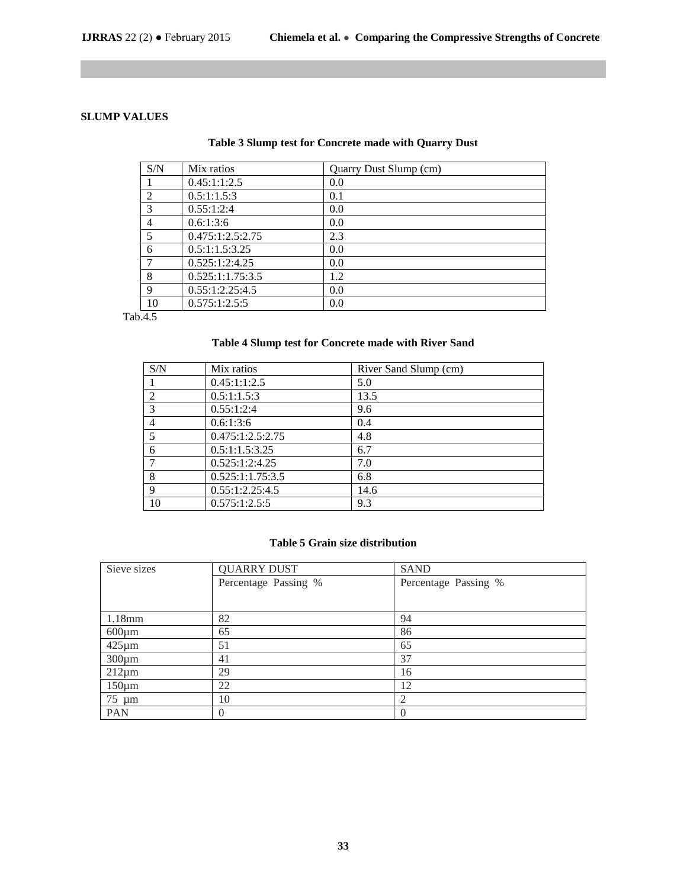# **SLUMP VALUES**

| Table 3 Slump test for Concrete made with Quarry Dust |                      |  |  |
|-------------------------------------------------------|----------------------|--|--|
| $\sim$                                                | $\sim$ $\sim$ $\sim$ |  |  |

| S/N            | Mix ratios       | Quarry Dust Slump (cm) |
|----------------|------------------|------------------------|
|                | 0.45:1:1:2.5     | 0.0                    |
| $\overline{2}$ | 0.5:1:1.5:3      | 0.1                    |
| 3              | 0.55:1:2:4       | 0.0                    |
| 4              | 0.6:1:3:6        | 0.0                    |
| 5              | 0.475:1:2.5:2.75 | 2.3                    |
| 6              | 0.5:1:1.5:3.25   | 0.0                    |
| 7              | 0.525:1:2:4.25   | 0.0                    |
| 8              | 0.525:1:1.75:3.5 | 1.2                    |
| 9              | 0.55:1:2.25:4.5  | 0.0                    |
| 10             | 0.575:1:2.5:5    | 0.0                    |

Tab.4.5

# **Table 4 Slump test for Concrete made with River Sand**

| S/N            | Mix ratios       | River Sand Slump (cm) |
|----------------|------------------|-----------------------|
|                | 0.45:1:1:2.5     | 5.0                   |
| $\overline{2}$ | 0.5:1:1.5:3      | 13.5                  |
| 3              | 0.55:1:2:4       | 9.6                   |
| 4              | 0.6:1:3:6        | 0.4                   |
| 5              | 0.475:1:2.5:2.75 | 4.8                   |
| 6              | 0.5:1:1.5:3.25   | 6.7                   |
|                | 0.525:1:2:4.25   | 7.0                   |
| 8              | 0.525:1:1.75:3.5 | 6.8                   |
| 9              | 0.55:1:2.25:4.5  | 14.6                  |
| 10             | 0.575:1:2.5:5    | 9.3                   |

## **Table 5 Grain size distribution**

| Sieve sizes | <b>QUARRY DUST</b>   | <b>SAND</b>          |
|-------------|----------------------|----------------------|
|             | Percentage Passing % | Percentage Passing % |
|             |                      |                      |
| $1.18$ mm   | 82                   | 94                   |
|             |                      |                      |
| $600 \mu m$ | 65                   | 86                   |
| $425 \mu m$ | 51                   | 65                   |
| $300 \mu m$ | 41                   | 37                   |
| $212 \mu m$ | 29                   | 16                   |
| $150 \mu m$ | 22                   | 12                   |
| $75 \mu m$  | 10                   | $\mathfrak{D}$       |
| <b>PAN</b>  | $\Omega$             |                      |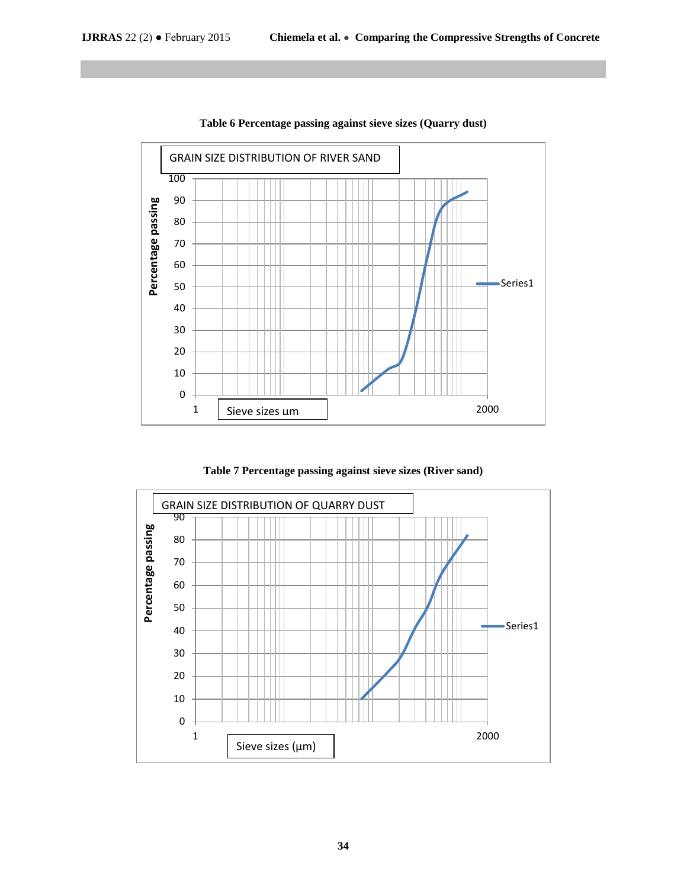

**Table 6 Percentage passing against sieve sizes (Quarry dust)**

**Table 7 Percentage passing against sieve sizes (River sand)**

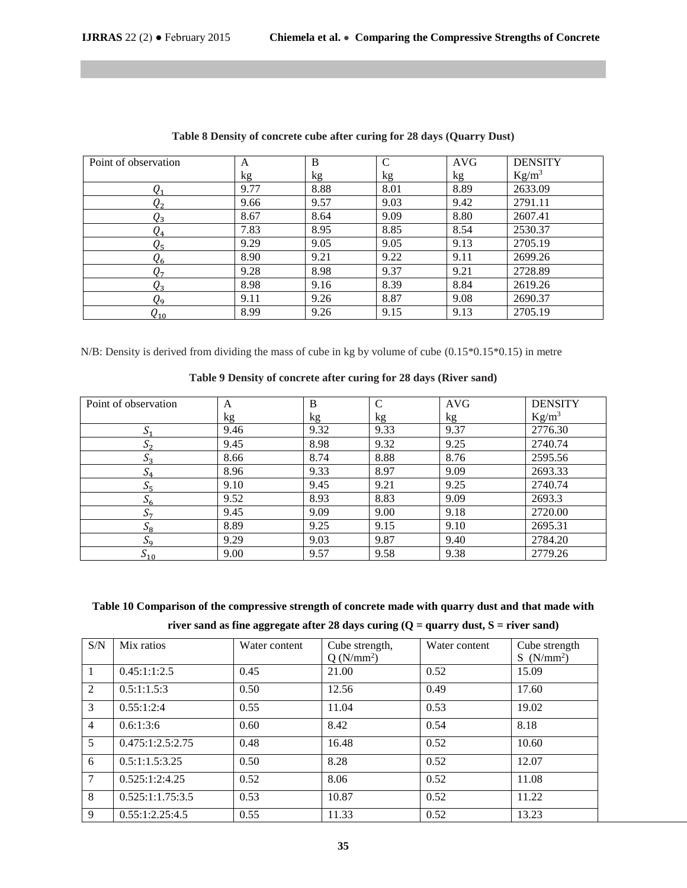| Point of observation | A    | B    | $\mathcal{C}$ | <b>AVG</b> | <b>DENSITY</b> |
|----------------------|------|------|---------------|------------|----------------|
|                      | kg   | kg   | kg            | kg         | $Kg/m^3$       |
| $\it{Q}_1$           | 9.77 | 8.88 | 8.01          | 8.89       | 2633.09        |
| $\pmb Q_2$           | 9.66 | 9.57 | 9.03          | 9.42       | 2791.11        |
| $Q_3$                | 8.67 | 8.64 | 9.09          | 8.80       | 2607.41        |
| $\mathit{Q}_4$       | 7.83 | 8.95 | 8.85          | 8.54       | 2530.37        |
| $Q_{5}$              | 9.29 | 9.05 | 9.05          | 9.13       | 2705.19        |
| $Q_6$                | 8.90 | 9.21 | 9.22          | 9.11       | 2699.26        |
| Q7                   | 9.28 | 8.98 | 9.37          | 9.21       | 2728.89        |
| $Q_3$                | 8.98 | 9.16 | 8.39          | 8.84       | 2619.26        |
| $Q_9$                | 9.11 | 9.26 | 8.87          | 9.08       | 2690.37        |
| $Q_{10}$             | 8.99 | 9.26 | 9.15          | 9.13       | 2705.19        |

| Table 8 Density of concrete cube after curing for 28 days (Quarry Dust) |  |  |  |  |  |
|-------------------------------------------------------------------------|--|--|--|--|--|
|-------------------------------------------------------------------------|--|--|--|--|--|

N/B: Density is derived from dividing the mass of cube in kg by volume of cube (0.15\*0.15\*0.15) in metre

# **Table 9 Density of concrete after curing for 28 days (River sand)**

| Point of observation | A    | B    | $\mathcal{C}$ | <b>AVG</b> | <b>DENSITY</b> |
|----------------------|------|------|---------------|------------|----------------|
|                      | kg   | kg   | kg            | kg         | $Kg/m^3$       |
| $\mathcal{D}_1$      | 9.46 | 9.32 | 9.33          | 9.37       | 2776.30        |
| 0۰                   | 9.45 | 8.98 | 9.32          | 9.25       | 2740.74        |
| $S_3$                | 8.66 | 8.74 | 8.88          | 8.76       | 2595.56        |
|                      | 8.96 | 9.33 | 8.97          | 9.09       | 2693.33        |
| $S_{5}$              | 9.10 | 9.45 | 9.21          | 9.25       | 2740.74        |
| $S_6$                | 9.52 | 8.93 | 8.83          | 9.09       | 2693.3         |
| $S_{\tau}$           | 9.45 | 9.09 | 9.00          | 9.18       | 2720.00        |
| $S_8$                | 8.89 | 9.25 | 9.15          | 9.10       | 2695.31        |
| $S_9$                | 9.29 | 9.03 | 9.87          | 9.40       | 2784.20        |
| $S_{10}$             | 9.00 | 9.57 | 9.58          | 9.38       | 2779.26        |

**Table 10 Comparison of the compressive strength of concrete made with quarry dust and that made with river sand as fine aggregate after 28 days curing (Q = quarry dust, S = river sand)**

| S/N            | Mix ratios       | Water content | Cube strength, | Water content | Cube strength         |
|----------------|------------------|---------------|----------------|---------------|-----------------------|
|                |                  |               | $Q(N/mm^2)$    |               | S(N/mm <sup>2</sup> ) |
| 1              | 0.45:1:1:2.5     | 0.45          | 21.00          | 0.52          | 15.09                 |
| 2              | 0.5:1:1.5:3      | 0.50          | 12.56          | 0.49          | 17.60                 |
| 3              | 0.55:1:2:4       | 0.55          | 11.04          | 0.53          | 19.02                 |
| $\overline{4}$ | 0.6:1:3:6        | 0.60          | 8.42           | 0.54          | 8.18                  |
| 5 <sup>5</sup> | 0.475:1:2.5:2.75 | 0.48          | 16.48          | 0.52          | 10.60                 |
| 6              | 0.5:1:1.5:3.25   | 0.50          | 8.28           | 0.52          | 12.07                 |
| $\overline{7}$ | 0.525:1:2:4.25   | 0.52          | 8.06           | 0.52          | 11.08                 |
| 8              | 0.525:1:1.75:3.5 | 0.53          | 10.87          | 0.52          | 11.22                 |
| 9              | 0.55:1:2.25:4.5  | 0.55          | 11.33          | 0.52          | 13.23                 |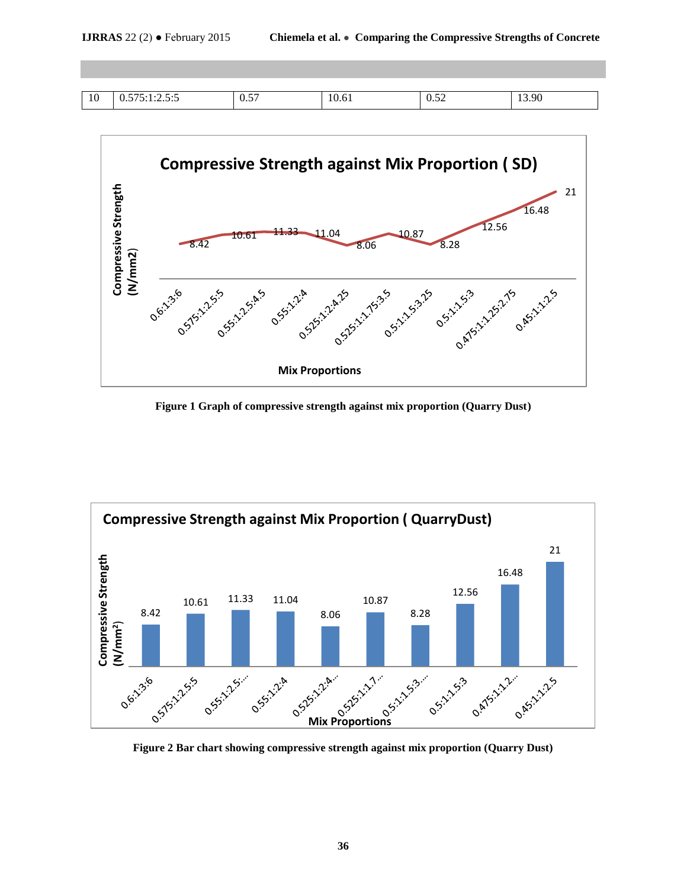| $\sim$<br>10 | . .<br>.<br>◡.◡<br>. . <i>.</i> | $ -$<br>$0.5$ .<br>- - - | $\sqrt{2}$<br>7. O I | $0.5 -$<br>____ | 13.90 |
|--------------|---------------------------------|--------------------------|----------------------|-----------------|-------|



**Figure 1 Graph of compressive strength against mix proportion (Quarry Dust)**



**Figure 2 Bar chart showing compressive strength against mix proportion (Quarry Dust)**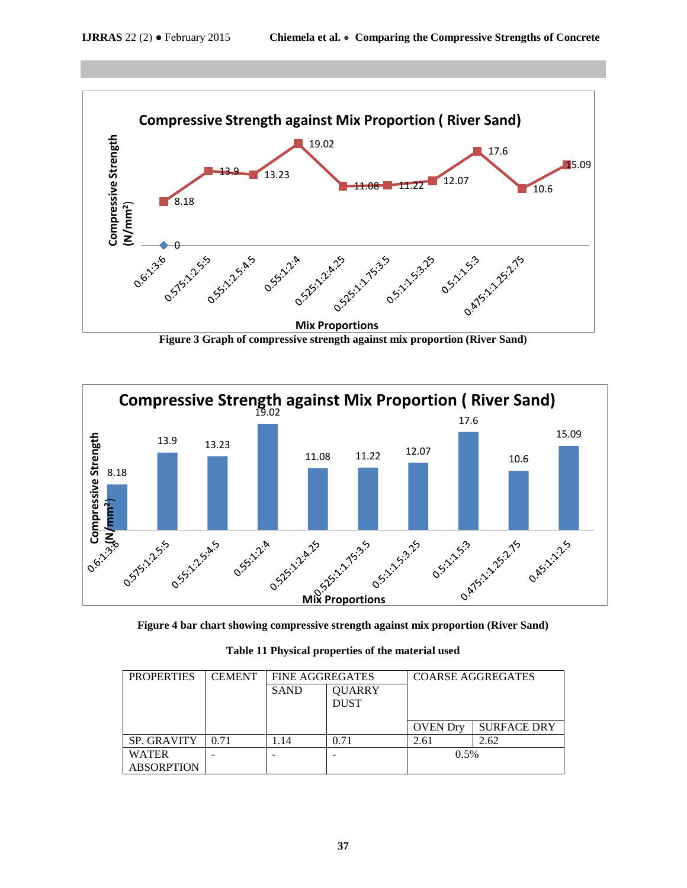

**Figure 3 Graph of compressive strength against mix proportion (River Sand)**



**Figure 4 bar chart showing compressive strength against mix proportion (River Sand)**

|  | Table 11 Physical properties of the material used |  |  |
|--|---------------------------------------------------|--|--|
|  |                                                   |  |  |

| <b>PROPERTIES</b>                 | <b>CEMENT</b> | <b>FINE AGGREGATES</b> |                              | <b>COARSE AGGREGATES</b> |                    |  |
|-----------------------------------|---------------|------------------------|------------------------------|--------------------------|--------------------|--|
|                                   |               | <b>SAND</b>            | <b>QUARRY</b><br><b>DUST</b> |                          |                    |  |
|                                   |               |                        |                              | <b>OVEN</b> Drv          | <b>SURFACE DRY</b> |  |
| <b>SP. GRAVITY</b>                | 0.71          | 1.14                   | 0.71                         | 2.61                     | 2.62               |  |
| <b>WATER</b><br><b>ABSORPTION</b> |               |                        |                              | 0.5%                     |                    |  |